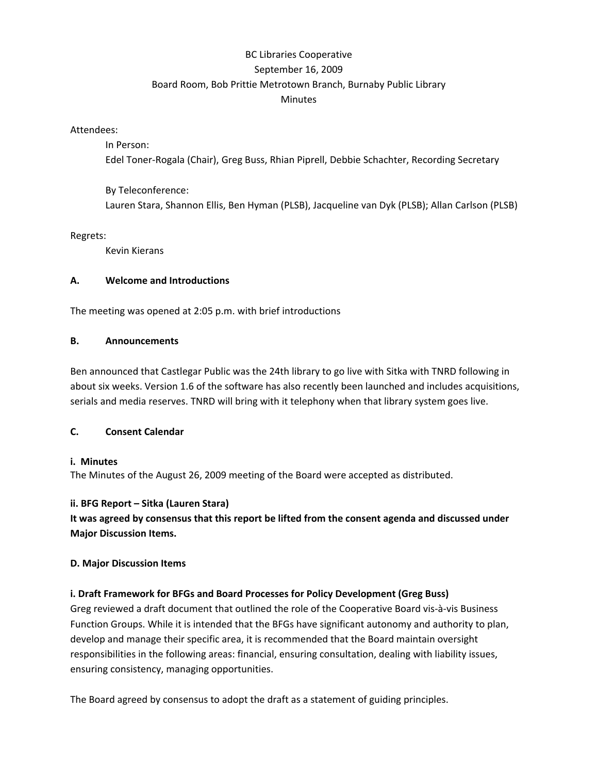# BC Libraries Cooperative September 16, 2009 Board Room, Bob Prittie Metrotown Branch, Burnaby Public Library **Minutes**

Attendees:

In Person: Edel Toner‐Rogala (Chair), Greg Buss, Rhian Piprell, Debbie Schachter, Recording Secretary

By Teleconference: Lauren Stara, Shannon Ellis, Ben Hyman (PLSB), Jacqueline van Dyk (PLSB); Allan Carlson (PLSB)

Regrets:

Kevin Kierans

#### **A. Welcome and Introductions**

The meeting was opened at 2:05 p.m. with brief introductions

#### **B. Announcements**

Ben announced that Castlegar Public was the 24th library to go live with Sitka with TNRD following in about six weeks. Version 1.6 of the software has also recently been launched and includes acquisitions, serials and media reserves. TNRD will bring with it telephony when that library system goes live.

#### **C. Consent Calendar**

#### **i. Minutes**

The Minutes of the August 26, 2009 meeting of the Board were accepted as distributed.

#### **ii. BFG Report – Sitka (Lauren Stara)**

**It was agreed by consensus that this report be lifted from the consent agenda and discussed under Major Discussion Items.**

#### **D. Major Discussion Items**

## **i. Draft Framework for BFGs and Board Processes for Policy Development (Greg Buss)**

Greg reviewed a draft document that outlined the role of the Cooperative Board vis‐à‐vis Business Function Groups. While it is intended that the BFGs have significant autonomy and authority to plan, develop and manage their specific area, it is recommended that the Board maintain oversight responsibilities in the following areas: financial, ensuring consultation, dealing with liability issues, ensuring consistency, managing opportunities.

The Board agreed by consensus to adopt the draft as a statement of guiding principles.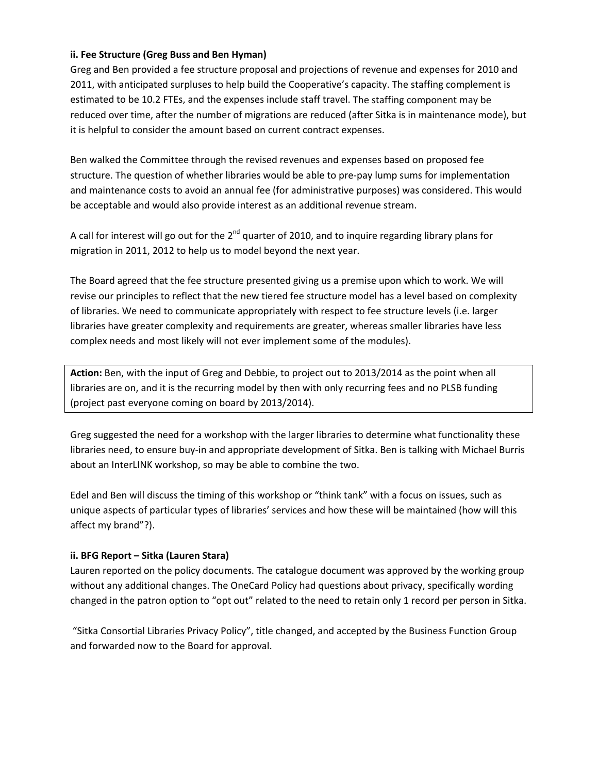### **ii. Fee Structure (Greg Buss and Ben Hyman)**

Greg and Ben provided a fee structure proposal and projections of revenue and expenses for 2010 and 2011, with anticipated surpluses to help build the Cooperative's capacity. The staffing complement is estimated to be 10.2 FTEs, and the expenses include staff travel. The staffing component may be reduced over time, after the number of migrations are reduced (after Sitka is in maintenance mode), but it is helpful to consider the amount based on current contract expenses.

Ben walked the Committee through the revised revenues and expenses based on proposed fee structure. The question of whether libraries would be able to pre‐pay lump sums for implementation and maintenance costs to avoid an annual fee (for administrative purposes) was considered. This would be acceptable and would also provide interest as an additional revenue stream.

A call for interest will go out for the  $2^{nd}$  quarter of 2010, and to inquire regarding library plans for migration in 2011, 2012 to help us to model beyond the next year.

The Board agreed that the fee structure presented giving us a premise upon which to work. We will revise our principles to reflect that the new tiered fee structure model has a level based on complexity of libraries. We need to communicate appropriately with respect to fee structure levels (i.e. larger libraries have greater complexity and requirements are greater, whereas smaller libraries have less complex needs and most likely will not ever implement some of the modules).

**Action:** Ben, with the input of Greg and Debbie, to project out to 2013/2014 as the point when all libraries are on, and it is the recurring model by then with only recurring fees and no PLSB funding (project past everyone coming on board by 2013/2014).

Greg suggested the need for a workshop with the larger libraries to determine what functionality these libraries need, to ensure buy‐in and appropriate development of Sitka. Ben is talking with Michael Burris about an InterLINK workshop, so may be able to combine the two.

Edel and Ben will discuss the timing of this workshop or "think tank" with a focus on issues, such as unique aspects of particular types of libraries' services and how these will be maintained (how will this affect my brand"?).

#### **ii. BFG Report – Sitka (Lauren Stara)**

Lauren reported on the policy documents. The catalogue document was approved by the working group without any additional changes. The OneCard Policy had questions about privacy, specifically wording changed in the patron option to "opt out" related to the need to retain only 1 record per person in Sitka.

"Sitka Consortial Libraries Privacy Policy", title changed, and accepted by the Business Function Group and forwarded now to the Board for approval.